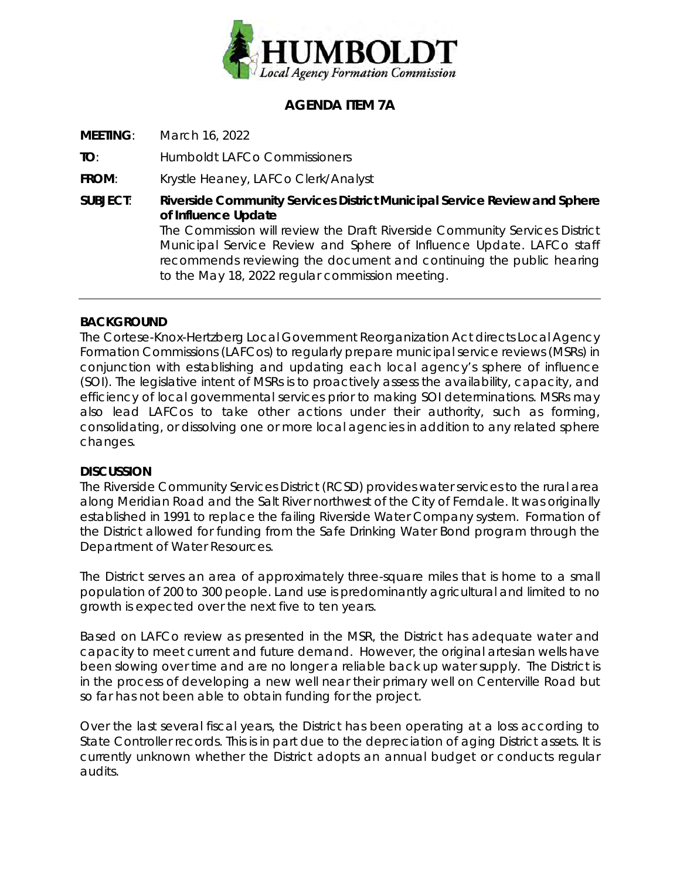

### **AGENDA ITEM 7A**

**MEETING**: March 16, 2022

**TO**: Humboldt LAFCo Commissioners

**FROM**: Krystle Heaney, LAFCo Clerk/Analyst

**SUBJECT**: **Riverside Community Services District Municipal Service Review and Sphere of Influence Update** The Commission will review the Draft Riverside Community Services District Municipal Service Review and Sphere of Influence Update. LAFCo staff recommends reviewing the document and continuing the public hearing to the May 18, 2022 regular commission meeting.

### **BACKGROUND**

The Cortese-Knox-Hertzberg Local Government Reorganization Act directs Local Agency Formation Commissions (LAFCos) to regularly prepare municipal service reviews (MSRs) in conjunction with establishing and updating each local agency's sphere of influence (SOI). The legislative intent of MSRs is to proactively assess the availability, capacity, and efficiency of local governmental services prior to making SOI determinations. MSRs may also lead LAFCos to take other actions under their authority, such as forming, consolidating, or dissolving one or more local agencies in addition to any related sphere changes.

#### **DISCUSSION**

The Riverside Community Services District (RCSD) provides water services to the rural area along Meridian Road and the Salt River northwest of the City of Ferndale. It was originally established in 1991 to replace the failing Riverside Water Company system. Formation of the District allowed for funding from the Safe Drinking Water Bond program through the Department of Water Resources.

The District serves an area of approximately three-square miles that is home to a small population of 200 to 300 people. Land use is predominantly agricultural and limited to no growth is expected over the next five to ten years.

Based on LAFCo review as presented in the MSR, the District has adequate water and capacity to meet current and future demand. However, the original artesian wells have been slowing over time and are no longer a reliable back up water supply. The District is in the process of developing a new well near their primary well on Centerville Road but so far has not been able to obtain funding for the project.

Over the last several fiscal years, the District has been operating at a loss according to State Controller records. This is in part due to the depreciation of aging District assets. It is currently unknown whether the District adopts an annual budget or conducts regular audits.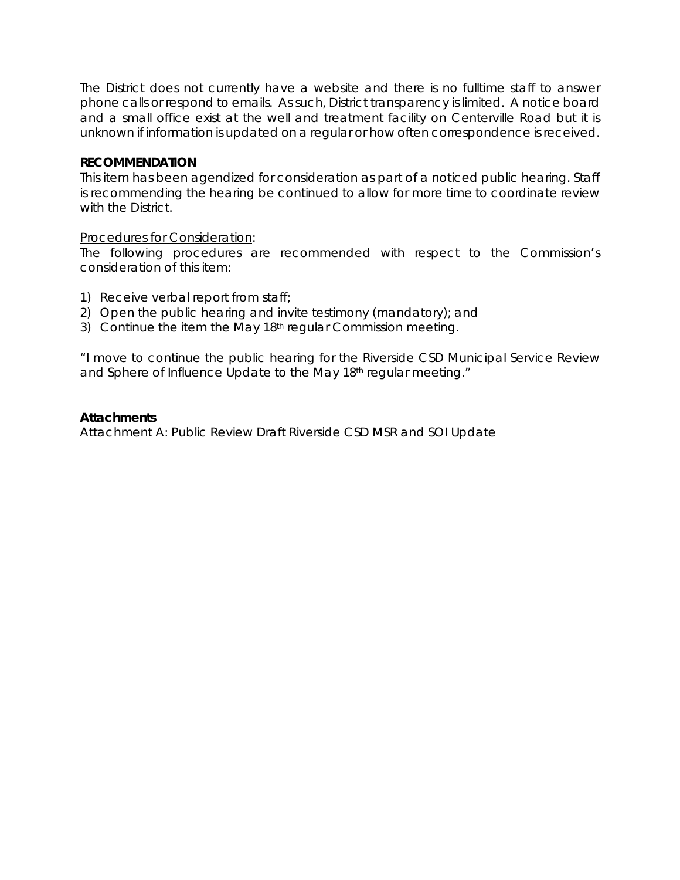The District does not currently have a website and there is no fulltime staff to answer phone calls or respond to emails. As such, District transparency is limited. A notice board and a small office exist at the well and treatment facility on Centerville Road but it is unknown if information is updated on a regular or how often correspondence is received.

#### **RECOMMENDATION**

This item has been agendized for consideration as part of a noticed public hearing. Staff is recommending the hearing be continued to allow for more time to coordinate review with the District.

#### Procedures for Consideration:

The following procedures are recommended with respect to the Commission's consideration of this item:

- 1) Receive verbal report from staff;
- 2) Open the public hearing and invite testimony (mandatory); and
- 3) Continue the item the May 18<sup>th</sup> regular Commission meeting.

*"I move to continue the public hearing for the Riverside CSD Municipal Service Review and Sphere of Influence Update to the May 18th regular meeting."*

#### *Attachments*

Attachment A: Public Review Draft Riverside CSD MSR and SOI Update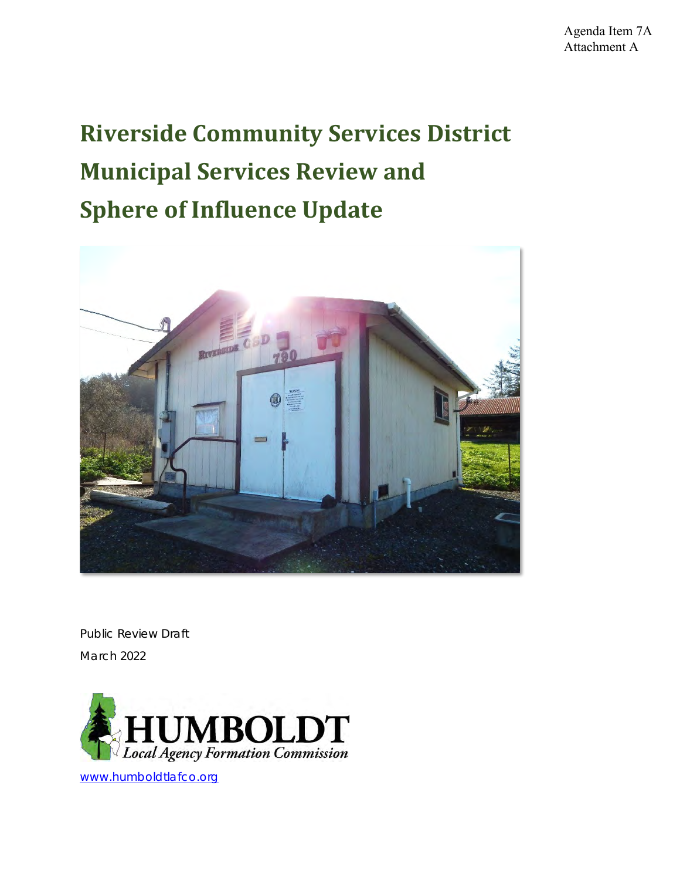# **Riverside Community Services District Municipal Services Review and Sphere of Influence Update**



Public Review Draft March 2022



[www.humboldtlafco.org](http://www.humboldtlafco.org/)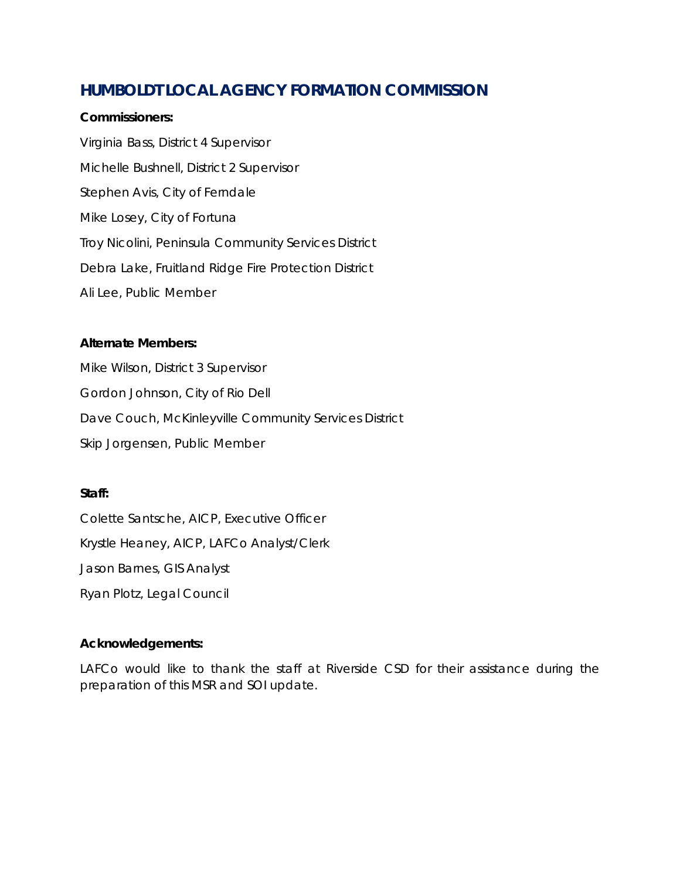### **HUMBOLDT LOCAL AGENCY FORMATION COMMISSION**

#### **Commissioners:**

Virginia Bass, District 4 Supervisor Michelle Bushnell, District 2 Supervisor Stephen Avis, City of Ferndale Mike Losey, City of Fortuna Troy Nicolini, Peninsula Community Services District Debra Lake, Fruitland Ridge Fire Protection District Ali Lee, Public Member

#### **Alternate Members:**

Mike Wilson, District 3 Supervisor Gordon Johnson, City of Rio Dell Dave Couch, McKinleyville Community Services District Skip Jorgensen, Public Member

#### **Staff:**

Colette Santsche, AICP, Executive Officer Krystle Heaney, AICP, LAFCo Analyst/Clerk Jason Barnes, GIS Analyst Ryan Plotz, Legal Council

### **Acknowledgements:**

LAFCo would like to thank the staff at Riverside CSD for their assistance during the preparation of this MSR and SOI update.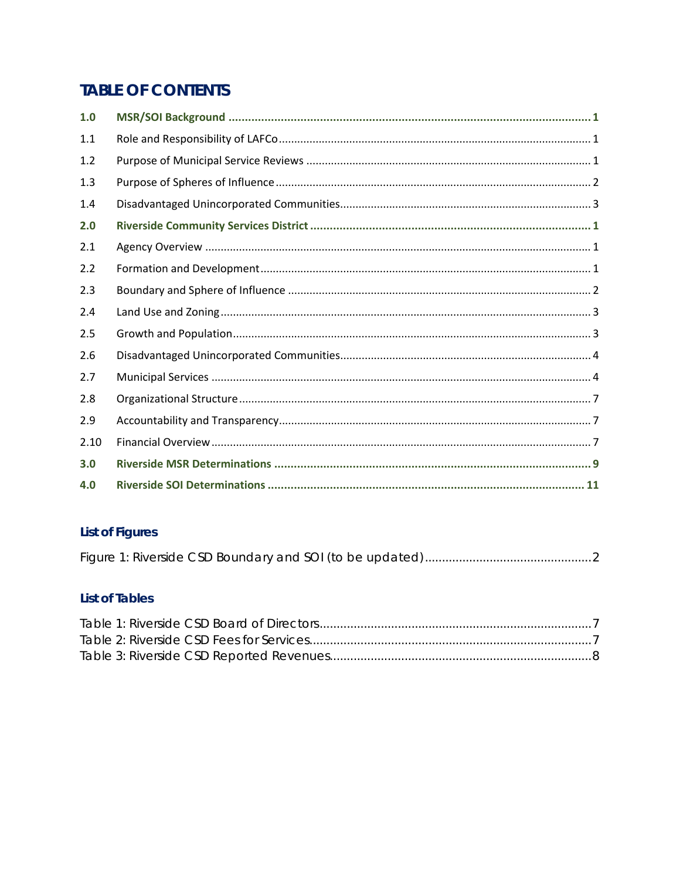## **TABLE OF CONTENTS**

| 1.0  |  |
|------|--|
| 1.1  |  |
| 1.2  |  |
| 1.3  |  |
| 1.4  |  |
| 2.0  |  |
| 2.1  |  |
| 2.2  |  |
| 2.3  |  |
| 2.4  |  |
| 2.5  |  |
| 2.6  |  |
| 2.7  |  |
| 2.8  |  |
| 2.9  |  |
| 2.10 |  |
| 3.0  |  |
| 4.0  |  |

### **List of Figures**

### **List of Tables**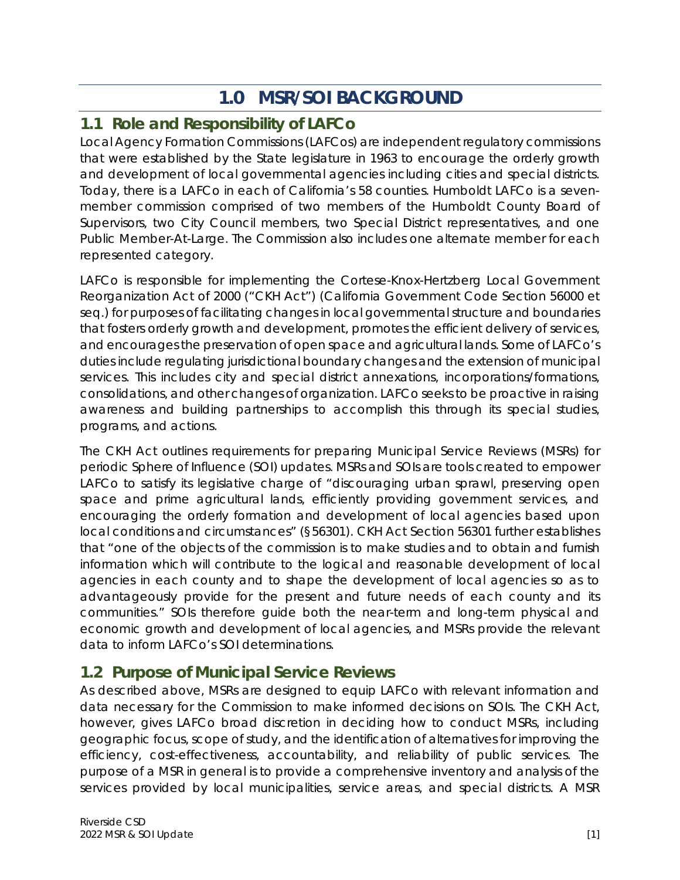# **1.0 MSR/SOI BACKGROUND**

### <span id="page-5-1"></span><span id="page-5-0"></span>**1.1 Role and Responsibility of LAFCo**

Local Agency Formation Commissions (LAFCos) are independent regulatory commissions that were established by the State legislature in 1963 to encourage the orderly growth and development of local governmental agencies including cities and special districts. Today, there is a LAFCo in each of California's 58 counties. Humboldt LAFCo is a sevenmember commission comprised of two members of the Humboldt County Board of Supervisors, two City Council members, two Special District representatives, and one Public Member-At-Large. The Commission also includes one alternate member for each represented category.

LAFCo is responsible for implementing the Cortese-Knox-Hertzberg Local Government Reorganization Act of 2000 ("CKH Act") (California Government Code Section 56000 et seq.) for purposes of facilitating changes in local governmental structure and boundaries that fosters orderly growth and development, promotes the efficient delivery of services, and encourages the preservation of open space and agricultural lands. Some of LAFCo's duties include regulating jurisdictional boundary changes and the extension of municipal services. This includes city and special district annexations, incorporations/formations, consolidations, and other changes of organization. LAFCo seeks to be proactive in raising awareness and building partnerships to accomplish this through its special studies, programs, and actions.

The CKH Act outlines requirements for preparing Municipal Service Reviews (MSRs) for periodic Sphere of Influence (SOI) updates. MSRs and SOIs are tools created to empower LAFCo to satisfy its legislative charge of "discouraging urban sprawl, preserving open space and prime agricultural lands, efficiently providing government services, and encouraging the orderly formation and development of local agencies based upon local conditions and circumstances" (§56301). CKH Act Section 56301 further establishes that "one of the objects of the commission is to make studies and to obtain and furnish information which will contribute to the logical and reasonable development of local agencies in each county and to shape the development of local agencies so as to advantageously provide for the present and future needs of each county and its communities." SOIs therefore guide both the near-term and long-term physical and economic growth and development of local agencies, and MSRs provide the relevant data to inform LAFCo's SOI determinations.

### <span id="page-5-2"></span>**1.2 Purpose of Municipal Service Reviews**

As described above, MSRs are designed to equip LAFCo with relevant information and data necessary for the Commission to make informed decisions on SOIs. The CKH Act, however, gives LAFCo broad discretion in deciding how to conduct MSRs, including geographic focus, scope of study, and the identification of alternatives for improving the efficiency, cost-effectiveness, accountability, and reliability of public services. The purpose of a MSR in general is to provide a comprehensive inventory and analysis of the services provided by local municipalities, service areas, and special districts. A MSR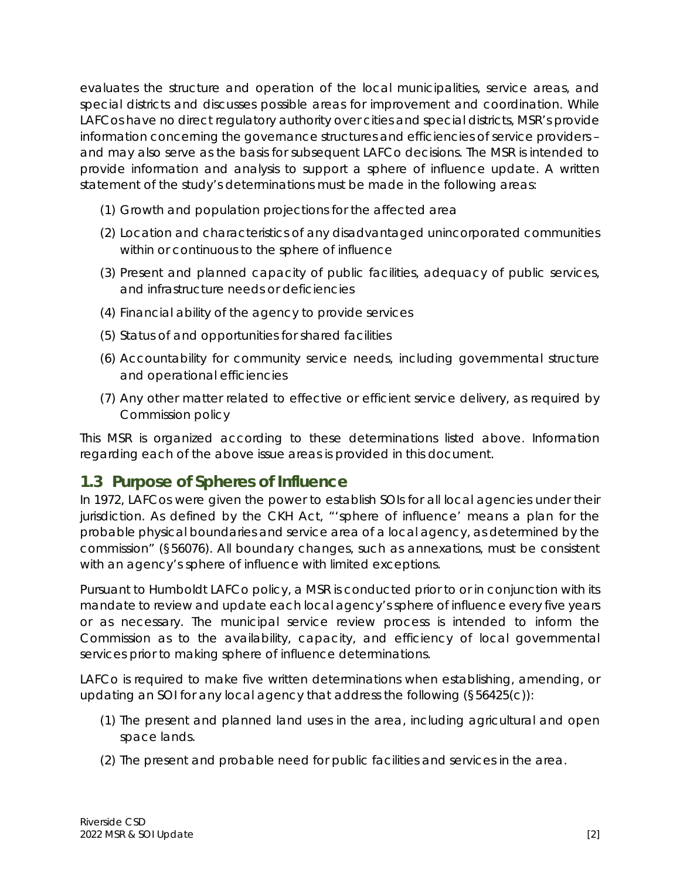evaluates the structure and operation of the local municipalities, service areas, and special districts and discusses possible areas for improvement and coordination. While LAFCos have no direct regulatory authority over cities and special districts, MSR's provide information concerning the governance structures and efficiencies of service providers – and may also serve as the basis for subsequent LAFCo decisions. The MSR is intended to provide information and analysis to support a sphere of influence update. A written statement of the study's determinations must be made in the following areas:

- (1) Growth and population projections for the affected area
- (2) Location and characteristics of any disadvantaged unincorporated communities within or continuous to the sphere of influence
- (3) Present and planned capacity of public facilities, adequacy of public services, and infrastructure needs or deficiencies
- (4) Financial ability of the agency to provide services
- (5) Status of and opportunities for shared facilities
- (6) Accountability for community service needs, including governmental structure and operational efficiencies
- (7) Any other matter related to effective or efficient service delivery, as required by Commission policy

This MSR is organized according to these determinations listed above. Information regarding each of the above issue areas is provided in this document.

### <span id="page-6-0"></span>**1.3 Purpose of Spheres of Influence**

In 1972, LAFCos were given the power to establish SOIs for all local agencies under their jurisdiction. As defined by the CKH Act, "'sphere of influence' means a plan for the probable physical boundaries and service area of a local agency, as determined by the commission" (§56076). All boundary changes, such as annexations, must be consistent with an agency's sphere of influence with limited exceptions.

Pursuant to Humboldt LAFCo policy, a MSR is conducted prior to or in conjunction with its mandate to review and update each local agency's sphere of influence every five years or as necessary. The municipal service review process is intended to inform the Commission as to the availability, capacity, and efficiency of local governmental services prior to making sphere of influence determinations.

LAFCo is required to make five written determinations when establishing, amending, or updating an SOI for any local agency that address the following (§56425(c)):

- (1) The present and planned land uses in the area, including agricultural and open space lands.
- (2) The present and probable need for public facilities and services in the area.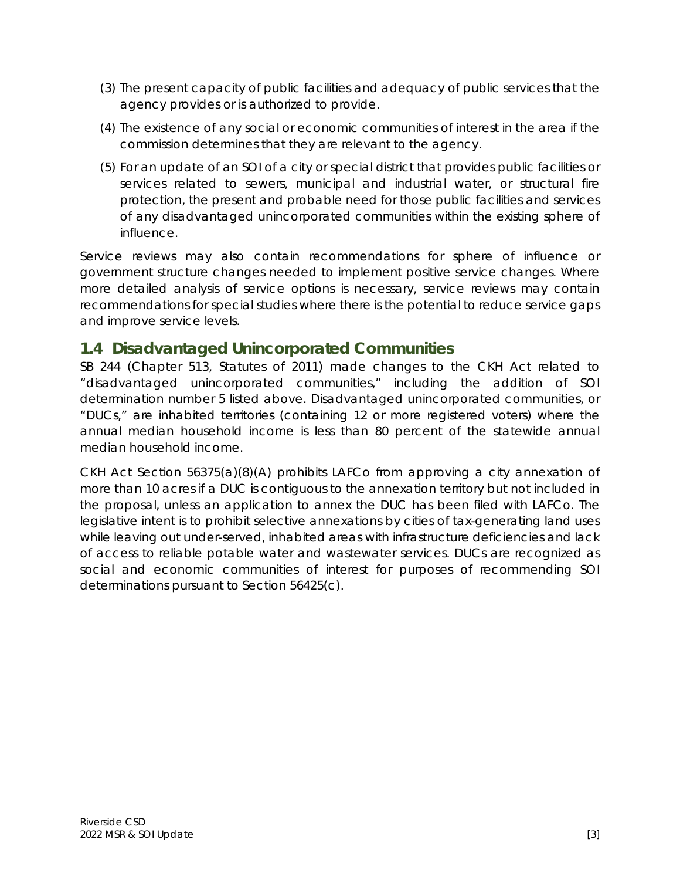- (3) The present capacity of public facilities and adequacy of public services that the agency provides or is authorized to provide.
- (4) The existence of any social or economic communities of interest in the area if the commission determines that they are relevant to the agency.
- (5) For an update of an SOI of a city or special district that provides public facilities or services related to sewers, municipal and industrial water, or structural fire protection, the present and probable need for those public facilities and services of any disadvantaged unincorporated communities within the existing sphere of influence.

Service reviews may also contain recommendations for sphere of influence or government structure changes needed to implement positive service changes. Where more detailed analysis of service options is necessary, service reviews may contain recommendations for special studies where there is the potential to reduce service gaps and improve service levels.

### <span id="page-7-0"></span>**1.4 Disadvantaged Unincorporated Communities**

SB 244 (Chapter 513, Statutes of 2011) made changes to the CKH Act related to "disadvantaged unincorporated communities," including the addition of SOI determination number 5 listed above. Disadvantaged unincorporated communities, or "DUCs," are inhabited territories (containing 12 or more registered voters) where the annual median household income is less than 80 percent of the statewide annual median household income.

CKH Act Section 56375(a)(8)(A) prohibits LAFCo from approving a city annexation of more than 10 acres if a DUC is contiguous to the annexation territory but not included in the proposal, unless an application to annex the DUC has been filed with LAFCo. The legislative intent is to prohibit selective annexations by cities of tax-generating land uses while leaving out under-served, inhabited areas with infrastructure deficiencies and lack of access to reliable potable water and wastewater services. DUCs are recognized as social and economic communities of interest for purposes of recommending SOI determinations pursuant to Section 56425(c).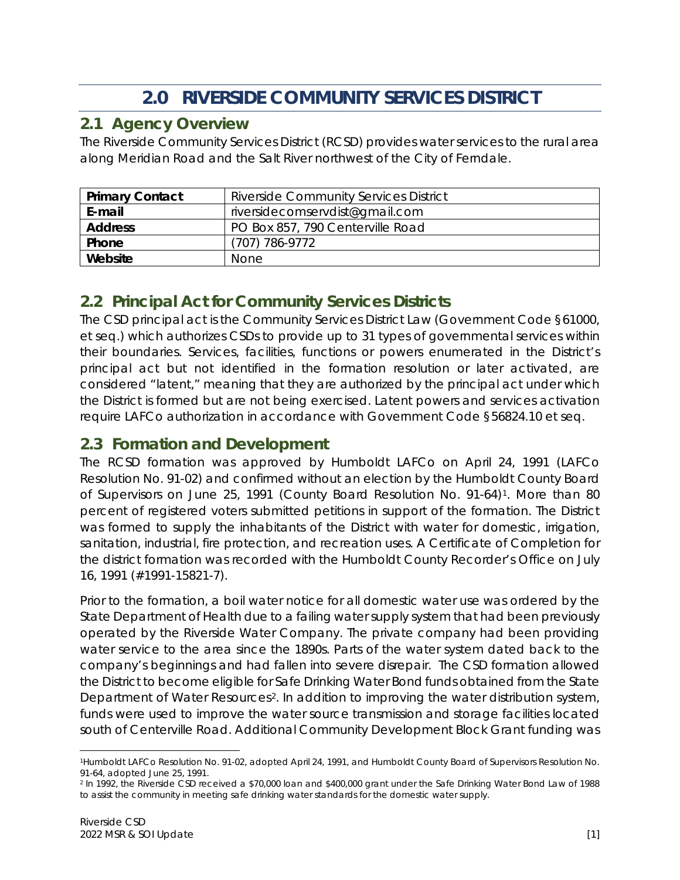# **2.0 RIVERSIDE COMMUNITY SERVICES DISTRICT**

### <span id="page-8-1"></span><span id="page-8-0"></span>**2.1 Agency Overview**

The Riverside Community Services District (RCSD) provides water services to the rural area along Meridian Road and the Salt River northwest of the City of Ferndale.

| <b>Primary Contact</b> | <b>Riverside Community Services District</b> |
|------------------------|----------------------------------------------|
| E-mail                 | riversidecomservdist@gmail.com               |
| <b>Address</b>         | PO Box 857, 790 Centerville Road             |
| Phone                  | (707) 786-9772                               |
| Website                | None                                         |

### <span id="page-8-2"></span>**2.2 Principal Act for Community Services Districts**

The CSD principal act is the Community Services District Law (Government Code §61000, et seq.) which authorizes CSDs to provide up to 31 types of governmental services within their boundaries. Services, facilities, functions or powers enumerated in the District's principal act but not identified in the formation resolution or later activated, are considered "latent," meaning that they are authorized by the principal act under which the District is formed but are not being exercised. Latent powers and services activation require LAFCo authorization in accordance with Government Code §56824.10 et seq.

### **2.3 Formation and Development**

The RCSD formation was approved by Humboldt LAFCo on April 24, 1991 (LAFCo Resolution No. 91-02) and confirmed without an election by the Humboldt County Board of Supervisors on June 25, 1991 (County Board Resolution No. 91-64)[1](#page-8-3). More than 80 percent of registered voters submitted petitions in support of the formation. The District was formed to supply the inhabitants of the District with water for domestic, irrigation, sanitation, industrial, fire protection, and recreation uses. A Certificate of Completion for the district formation was recorded with the Humboldt County Recorder's Office on July 16, 1991 (#1991-15821-7).

Prior to the formation, a boil water notice for all domestic water use was ordered by the State Department of Health due to a failing water supply system that had been previously operated by the Riverside Water Company. The private company had been providing water service to the area since the 1890s. Parts of the water system dated back to the company's beginnings and had fallen into severe disrepair. The CSD formation allowed the District to become eligible for Safe Drinking Water Bond funds obtained from the State Department of Water Resources<sup>[2](#page-8-4)</sup>. In addition to improving the water distribution system, funds were used to improve the water source transmission and storage facilities located south of Centerville Road. Additional Community Development Block Grant funding was

<span id="page-8-3"></span><sup>1</sup>Humboldt LAFCo Resolution No. 91-02, adopted April 24, 1991, and Humboldt County Board of Supervisors Resolution No. 91-64, adopted June 25, 1991.<br><sup>2</sup> In 1992, the Riverside CSD received a \$70,000 loan and \$400,000 grant under the Safe Drinking Water Bond Law of 1988

<span id="page-8-4"></span>to assist the community in meeting safe drinking water standards for the domestic water supply.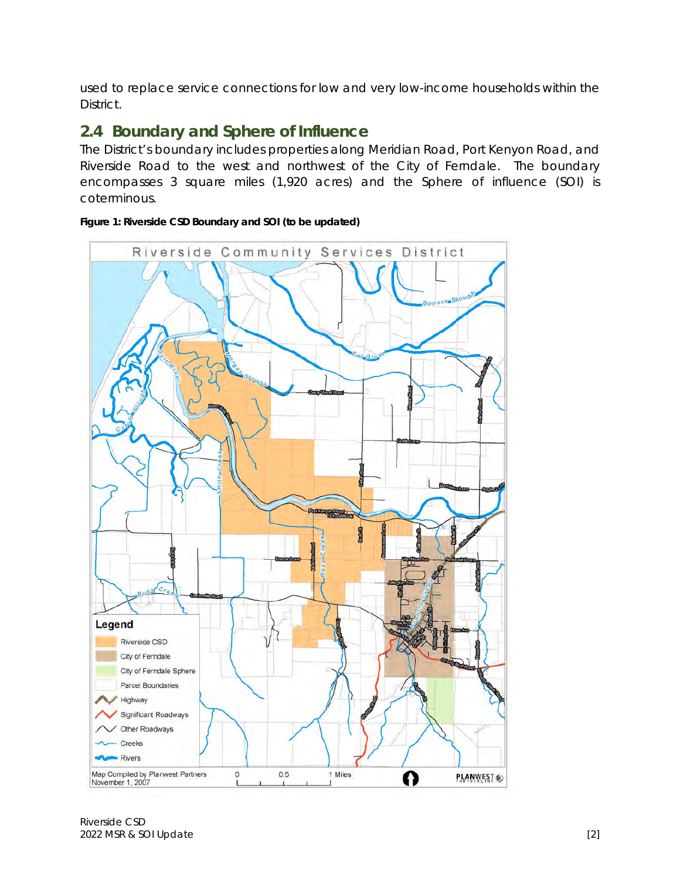used to replace service connections for low and very low-income households within the District.

### <span id="page-9-0"></span>**2.4 Boundary and Sphere of Influence**

The District's boundary includes properties along Meridian Road, Port Kenyon Road, and Riverside Road to the west and northwest of the City of Ferndale. The boundary encompasses 3 square miles (1,920 acres) and the Sphere of influence (SOI) is coterminous.



<span id="page-9-1"></span>**Figure 1: Riverside CSD Boundary and SOI (to be updated)** 

Riverside CSD 2022 MSR & SOI Update [2]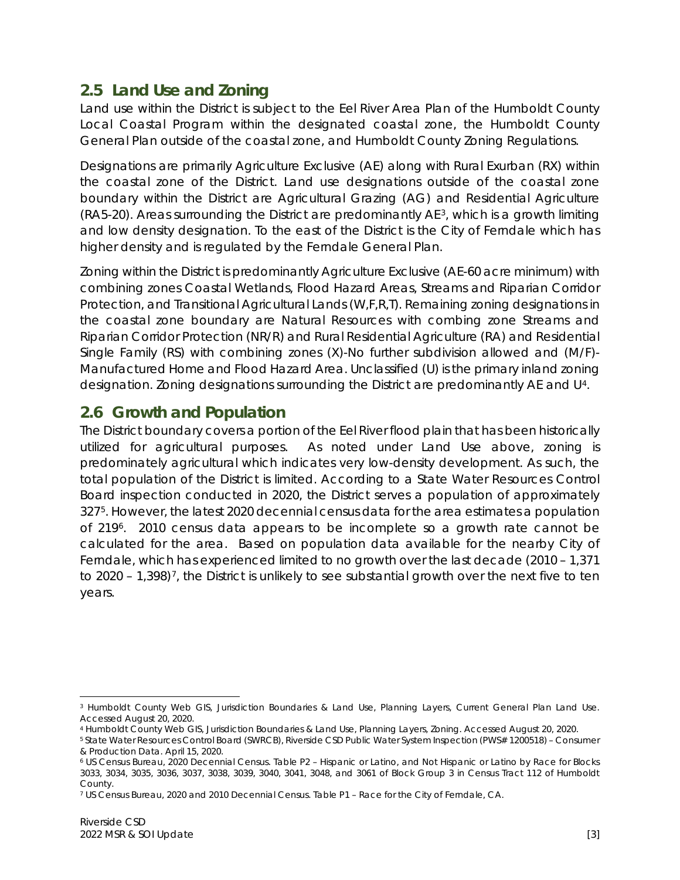### <span id="page-10-0"></span>**2.5 Land Use and Zoning**

Land use within the District is subject to the Eel River Area Plan of the Humboldt County Local Coastal Program within the designated coastal zone, the Humboldt County General Plan outside of the coastal zone, and Humboldt County Zoning Regulations.

Designations are primarily Agriculture Exclusive (AE) along with Rural Exurban (RX) within the coastal zone of the District. Land use designations outside of the coastal zone boundary within the District are Agricultural Grazing (AG) and Residential Agriculture (RA5-20). Areas surrounding the District are predominantly AE[3](#page-10-2), which is a growth limiting and low density designation. To the east of the District is the City of Ferndale which has higher density and is regulated by the Ferndale General Plan.

Zoning within the District is predominantly Agriculture Exclusive (AE-60 acre minimum) with combining zones Coastal Wetlands, Flood Hazard Areas, Streams and Riparian Corridor Protection, and Transitional Agricultural Lands (W,F,R,T). Remaining zoning designations in the coastal zone boundary are Natural Resources with combing zone Streams and Riparian Corridor Protection (NR/R) and Rural Residential Agriculture (RA) and Residential Single Family (RS) with combining zones (X)-No further subdivision allowed and (M/F)- Manufactured Home and Flood Hazard Area. Unclassified (U) is the primary inland zoning designation. Zoning designations surrounding the District are predominantly AE and U[4](#page-10-3).

### <span id="page-10-1"></span>**2.6 Growth and Population**

The District boundary covers a portion of the Eel River flood plain that has been historically utilized for agricultural purposes. As noted under Land Use above, zoning is predominately agricultural which indicates very low-density development. As such, the total population of the District is limited. According to a State Water Resources Control Board inspection conducted in 2020, the District serves a population of approximately 327[5.](#page-10-4) However, the latest 2020 decennial census data for the area estimates a population of 219[6.](#page-10-5) 2010 census data appears to be incomplete so a growth rate cannot be calculated for the area. Based on population data available for the nearby City of Ferndale, which has experienced limited to no growth over the last decade (2010 – 1,371 to 2020 – 1,398)<sup>7</sup>, the District is unlikely to see substantial growth over the next five to ten years.

<span id="page-10-2"></span><sup>3</sup> Humboldt County Web GIS, Jurisdiction Boundaries & Land Use, Planning Layers, Current General Plan Land Use. Accessed August 20, 2020.

<span id="page-10-3"></span><sup>4</sup> Humboldt County Web GIS, Jurisdiction Boundaries & Land Use, Planning Layers, Zoning. Accessed August 20, 2020.

<span id="page-10-4"></span><sup>5</sup> State Water Resources Control Board (SWRCB), Riverside CSD Public Water System Inspection (PWS# 1200518) – Consumer & Production Data. April 15, 2020.

<span id="page-10-5"></span><sup>6</sup> US Census Bureau, 2020 Decennial Census. Table P2 – Hispanic or Latino, and Not Hispanic or Latino by Race for Blocks 3033, 3034, 3035, 3036, 3037, 3038, 3039, 3040, 3041, 3048, and 3061 of Block Group 3 in Census Tract 112 of Humboldt County.

<span id="page-10-6"></span><sup>7</sup> US Census Bureau, 2020 and 2010 Decennial Census. Table P1 – Race for the City of Ferndale, CA.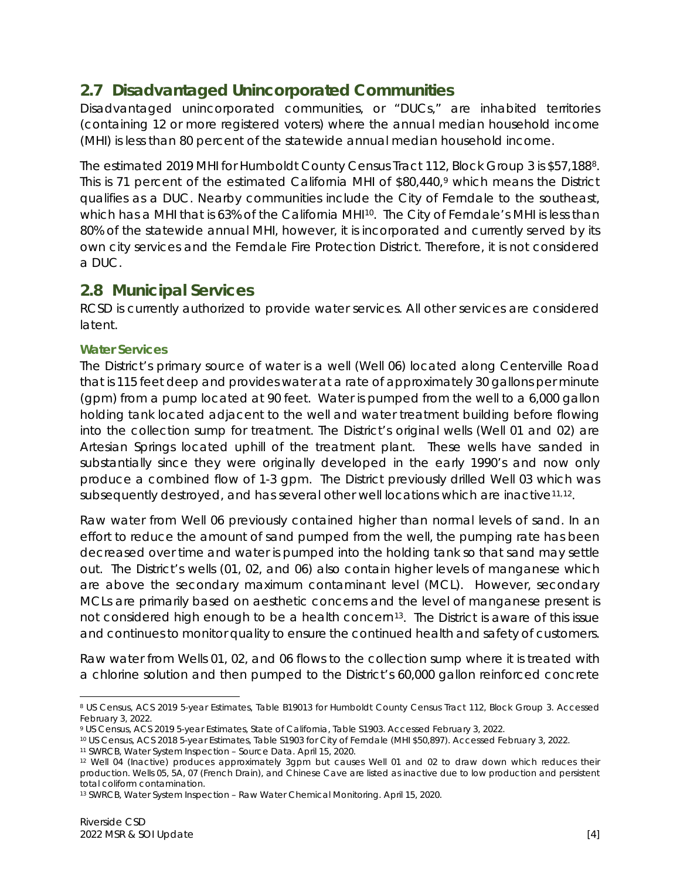### <span id="page-11-0"></span>**2.7 Disadvantaged Unincorporated Communities**

Disadvantaged unincorporated communities, or "DUCs," are inhabited territories (containing 12 or more registered voters) where the annual median household income (MHI) is less than 80 percent of the statewide annual median household income.

The estimated 2019 MHI for Humboldt County Census Tract 112, Block Group 3 is \$57,188[8](#page-11-2). This is 71 percent of the estimated California MHI of \$80,440,<sup>[9](#page-11-3)</sup> which means the District qualifies as a DUC. Nearby communities include the City of Ferndale to the southeast, which has a MHI that is 63% of the California MHI<sup>[10](#page-11-4)</sup>. The City of Ferndale's MHI is less than 80% of the statewide annual MHI, however, it is incorporated and currently served by its own city services and the Ferndale Fire Protection District. Therefore, it is not considered a DUC.

### <span id="page-11-1"></span>**2.8 Municipal Services**

RCSD is currently authorized to provide water services. All other services are considered latent.

### **Water Services**

The District's primary source of water is a well (Well 06) located along Centerville Road that is 115 feet deep and provides water at a rate of approximately 30 gallons per minute (gpm) from a pump located at 90 feet. Water is pumped from the well to a 6,000 gallon holding tank located adjacent to the well and water treatment building before flowing into the collection sump for treatment. The District's original wells (Well 01 and 02) are Artesian Springs located uphill of the treatment plant. These wells have sanded in substantially since they were originally developed in the early 1990's and now only produce a combined flow of 1-3 gpm. The District previously drilled Well 03 which was subsequently destroyed, and has several other well locations which are inactive[11,](#page-11-5)[12.](#page-11-6)

Raw water from Well 06 previously contained higher than normal levels of sand. In an effort to reduce the amount of sand pumped from the well, the pumping rate has been decreased over time and water is pumped into the holding tank so that sand may settle out. The District's wells (01, 02, and 06) also contain higher levels of manganese which are above the secondary maximum contaminant level (MCL). However, secondary MCLs are primarily based on aesthetic concerns and the level of manganese present is not considered high enough to be a health concern<sup>13</sup>. The District is aware of this issue and continues to monitor quality to ensure the continued health and safety of customers.

Raw water from Wells 01, 02, and 06 flows to the collection sump where it is treated with a chlorine solution and then pumped to the District's 60,000 gallon reinforced concrete

<sup>8</sup> US Census, ACS 2019 5-year Estimates, Table B19013 for Humboldt County Census Tract 112, Block Group 3. Accessed

<span id="page-11-3"></span><span id="page-11-2"></span>February 3, 2022.<br>9 US Census, ACS 2019 5-year Estimates, State of California, Table S1903. Accessed February 3, 2022.<br><sup>10</sup> US Census, ACS 2018 5-year Estimates, Table S1903 for City of Ferndale (MHI \$50,897). Accessed Feb

<span id="page-11-4"></span>

<span id="page-11-6"></span><span id="page-11-5"></span><sup>12</sup> Well 04 (Inactive) produces approximately 3gpm but causes Well 01 and 02 to draw down which reduces their production. Wells 05, 5A, 07 (French Drain), and Chinese Cave are listed as inactive due to low production and persistent total coliform contamination.

<span id="page-11-7"></span><sup>13</sup> SWRCB, Water System Inspection – Raw Water Chemical Monitoring. April 15, 2020.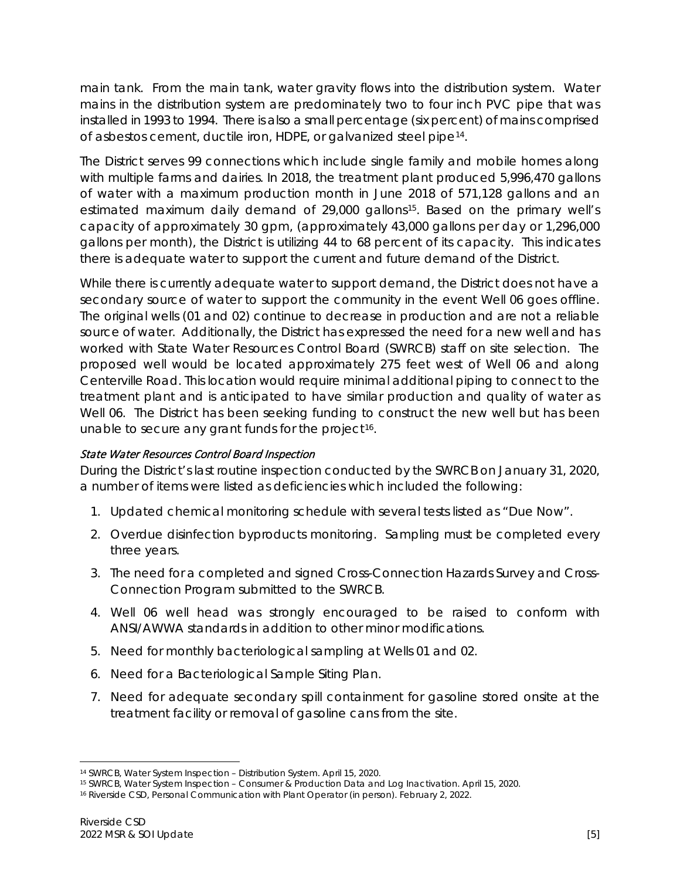main tank. From the main tank, water gravity flows into the distribution system. Water mains in the distribution system are predominately two to four inch PVC pipe that was installed in 1993 to 1994. There is also a small percentage (six percent) of mains comprised of asbestos cement, ductile iron, HDPE, or galvanized steel pipe[14](#page-12-0).

The District serves 99 connections which include single family and mobile homes along with multiple farms and dairies. In 2018, the treatment plant produced 5,996,470 gallons of water with a maximum production month in June 2018 of 571,128 gallons and an estimated maximum daily demand of 29,000 gallons<sup>15</sup>. Based on the primary well's capacity of approximately 30 gpm, (approximately 43,000 gallons per day or 1,296,000 gallons per month), the District is utilizing 44 to 68 percent of its capacity. This indicates there is adequate water to support the current and future demand of the District.

While there is currently adequate water to support demand, the District does not have a secondary source of water to support the community in the event Well 06 goes offline. The original wells (01 and 02) continue to decrease in production and are not a reliable source of water. Additionally, the District has expressed the need for a new well and has worked with State Water Resources Control Board (SWRCB) staff on site selection. The proposed well would be located approximately 275 feet west of Well 06 and along Centerville Road. This location would require minimal additional piping to connect to the treatment plant and is anticipated to have similar production and quality of water as Well 06. The District has been seeking funding to construct the new well but has been unable to secure any grant funds for the project<sup>[16](#page-12-2)</sup>.

### State Water Resources Control Board Inspection

During the District's last routine inspection conducted by the SWRCB on January 31, 2020, a number of items were listed as deficiencies which included the following:

- 1. Updated chemical monitoring schedule with several tests listed as "Due Now".
- 2. Overdue disinfection byproducts monitoring. Sampling must be completed every three years.
- 3. The need for a completed and signed Cross-Connection Hazards Survey and Cross-Connection Program submitted to the SWRCB.
- 4. Well 06 well head was strongly encouraged to be raised to conform with ANSI/AWWA standards in addition to other minor modifications.
- 5. Need for monthly bacteriological sampling at Wells 01 and 02.
- 6. Need for a Bacteriological Sample Siting Plan.
- 7. Need for adequate secondary spill containment for gasoline stored onsite at the treatment facility or removal of gasoline cans from the site.

<span id="page-12-0"></span><sup>14</sup> SWRCB, Water System Inspection – Distribution System. April 15, 2020.

<span id="page-12-1"></span><sup>15</sup> SWRCB, Water System Inspection – Consumer & Production Data and Log Inactivation. April 15, 2020.

<span id="page-12-2"></span><sup>16</sup> Riverside CSD, Personal Communication with Plant Operator (in person). February 2, 2022.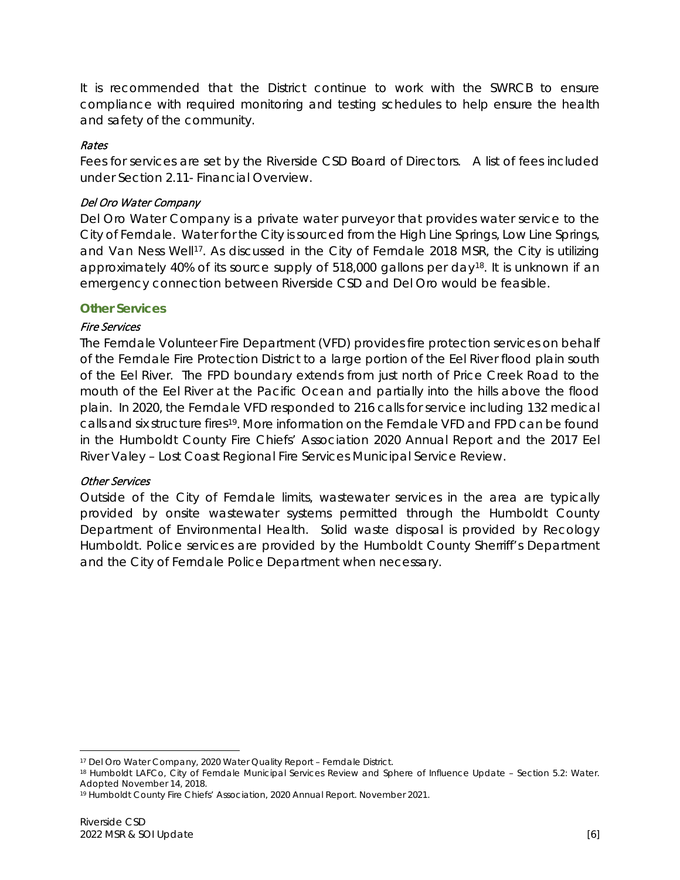It is recommended that the District continue to work with the SWRCB to ensure compliance with required monitoring and testing schedules to help ensure the health and safety of the community.

#### Rates

Fees for services are set by the Riverside CSD Board of Directors. A list of fees included under Section 2.11- Financial Overview.

#### Del Oro Water Company

Del Oro Water Company is a private water purveyor that provides water service to the City of Ferndale. Water for the City is sourced from the High Line Springs, Low Line Springs, and Van Ness Well<sup>[17](#page-13-0)</sup>. As discussed in the City of Ferndale 2018 MSR, the City is utilizing approximately 40% of its source supply of 518,000 gallons per day<sup>18</sup>. It is unknown if an emergency connection between Riverside CSD and Del Oro would be feasible.

#### **Other Services**

#### Fire Services

The Ferndale Volunteer Fire Department (VFD) provides fire protection services on behalf of the Ferndale Fire Protection District to a large portion of the Eel River flood plain south of the Eel River. The FPD boundary extends from just north of Price Creek Road to the mouth of the Eel River at the Pacific Ocean and partially into the hills above the flood plain. In 2020, the Ferndale VFD responded to 216 calls for service including 132 medical calls and six structure fires[19](#page-13-2). More information on the Ferndale VFD and FPD can be found in the Humboldt County Fire Chiefs' Association 2020 Annual Report and the 2017 Eel River Valey – Lost Coast Regional Fire Services Municipal Service Review.

#### Other Services

Outside of the City of Ferndale limits, wastewater services in the area are typically provided by onsite wastewater systems permitted through the Humboldt County Department of Environmental Health. Solid waste disposal is provided by Recology Humboldt. Police services are provided by the Humboldt County Sherriff's Department and the City of Ferndale Police Department when necessary.

<span id="page-13-1"></span><span id="page-13-0"></span>

<sup>&</sup>lt;sup>17</sup> Del Oro Water Company, 2020 Water Quality Report – Ferndale District.<br><sup>18</sup> Humboldt LAFCo, City of Ferndale Municipal Services Review and Sphere of Influence Update – Section 5.2: Water. Adopted November 14, 2018.

<span id="page-13-2"></span><sup>19</sup> Humboldt County Fire Chiefs' Association, 2020 Annual Report. November 2021.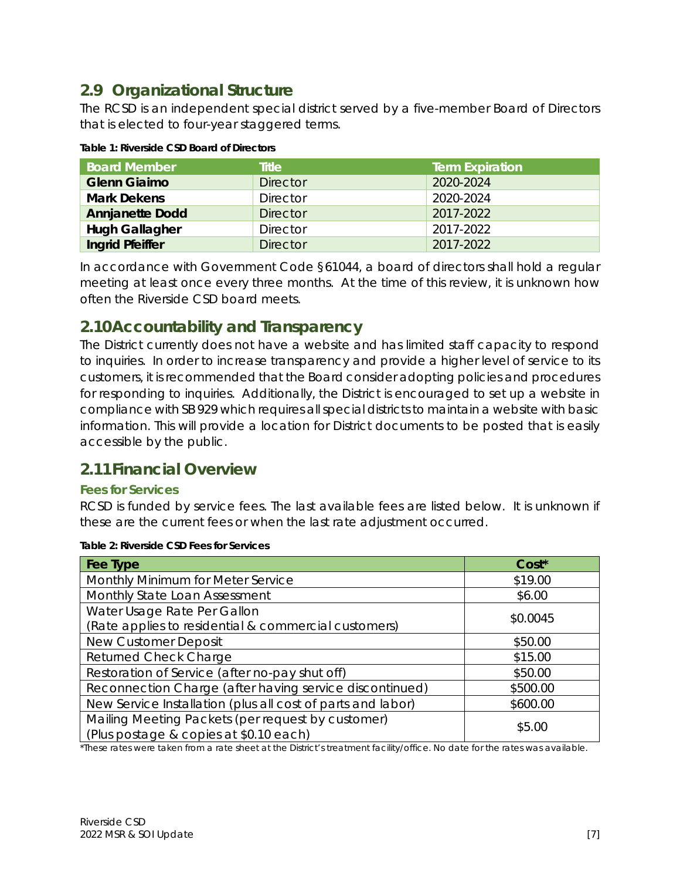### <span id="page-14-0"></span>**2.9 Organizational Structure**

The RCSD is an independent special district served by a five-member Board of Directors that is elected to four-year staggered terms.

| <b>Board Member</b>    | <b>Title</b>    | <b>Term Expiration</b> |
|------------------------|-----------------|------------------------|
| <b>Glenn Giaimo</b>    | <b>Director</b> | 2020-2024              |
| <b>Mark Dekens</b>     | <b>Director</b> | 2020-2024              |
| <b>Annjanette Dodd</b> | <b>Director</b> | 2017-2022              |
| <b>Hugh Gallagher</b>  | <b>Director</b> | 2017-2022              |
| <b>Ingrid Pfeiffer</b> | <b>Director</b> | 2017-2022              |

<span id="page-14-3"></span>

| Table 1: Riverside CSD Board of Directors |  |  |
|-------------------------------------------|--|--|
|                                           |  |  |

In accordance with Government Code §61044, a board of directors shall hold a regular meeting at least once every three months. At the time of this review, it is unknown how often the Riverside CSD board meets.

### <span id="page-14-1"></span>**2.10Accountability and Transparency**

The District currently does not have a website and has limited staff capacity to respond to inquiries. In order to increase transparency and provide a higher level of service to its customers, it is recommended that the Board consider adopting policies and procedures for responding to inquiries. Additionally, the District is encouraged to set up a website in compliance with SB 929 which requires all special districts to maintain a website with basic information. This will provide a location for District documents to be posted that is easily accessible by the public.

### <span id="page-14-2"></span>**2.11Financial Overview**

### **Fees for Services**

RCSD is funded by service fees. The last available fees are listed below. It is unknown if these are the current fees or when the last rate adjustment occurred.

| Fee Type                                                                                    | Cost*    |  |
|---------------------------------------------------------------------------------------------|----------|--|
| Monthly Minimum for Meter Service                                                           | \$19.00  |  |
| Monthly State Loan Assessment                                                               | \$6.00   |  |
| Water Usage Rate Per Gallon                                                                 | \$0.0045 |  |
| (Rate applies to residential & commercial customers)                                        |          |  |
| <b>New Customer Deposit</b>                                                                 | \$50.00  |  |
| <b>Returned Check Charge</b>                                                                | \$15.00  |  |
| Restoration of Service (after no-pay shut off)                                              | \$50.00  |  |
| Reconnection Charge (after having service discontinued)                                     | \$500.00 |  |
| New Service Installation (plus all cost of parts and labor)                                 | \$600.00 |  |
| Mailing Meeting Packets (per request by customer)<br>(Plus postage & copies at \$0.10 each) | \$5.00   |  |

#### <span id="page-14-4"></span>**Table 2: Riverside CSD Fees for Services**

\*These rates were taken from a rate sheet at the District's treatment facility/office. No date for the rates was available.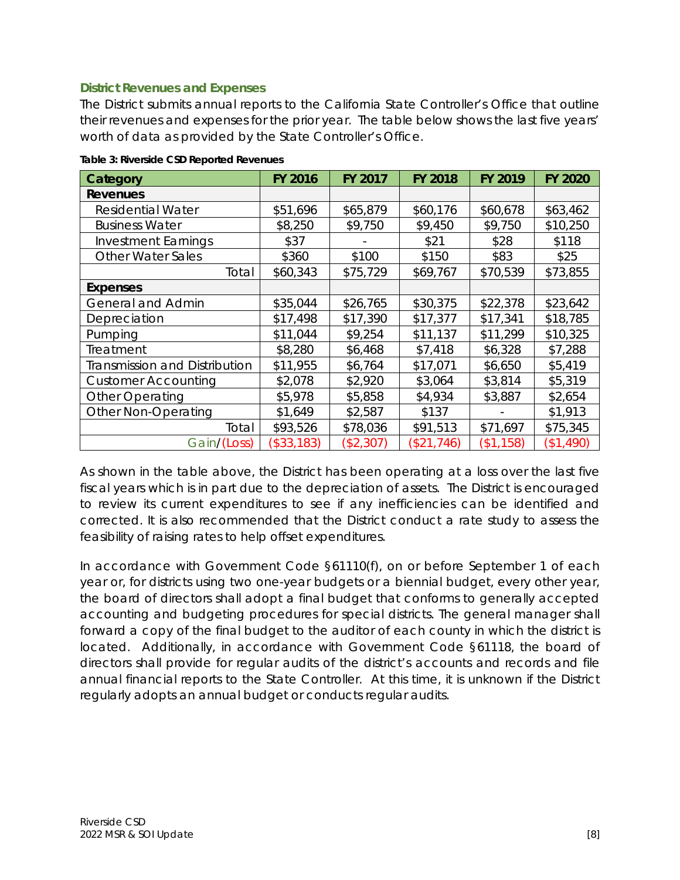#### **District Revenues and Expenses**

The District submits annual reports to the California State Controller's Office that outline their revenues and expenses for the prior year. The table below shows the last five years' worth of data as provided by the State Controller's Office.

| Category                      | <b>FY 2016</b> | FY 2017   | <b>FY 2018</b> | FY 2019   | <b>FY 2020</b> |
|-------------------------------|----------------|-----------|----------------|-----------|----------------|
| Revenues                      |                |           |                |           |                |
| <b>Residential Water</b>      | \$51,696       | \$65,879  | \$60,176       | \$60,678  | \$63,462       |
| <b>Business Water</b>         | \$8,250        | \$9,750   | \$9,450        | \$9,750   | \$10,250       |
| <b>Investment Earnings</b>    | \$37           |           | \$21           | \$28      | \$118          |
| <b>Other Water Sales</b>      | \$360          | \$100     | \$150          | \$83      | \$25           |
| Total                         | \$60,343       | \$75,729  | \$69,767       | \$70,539  | \$73,855       |
| <b>Expenses</b>               |                |           |                |           |                |
| <b>General and Admin</b>      | \$35,044       | \$26,765  | \$30,375       | \$22,378  | \$23,642       |
| Depreciation                  | \$17,498       | \$17,390  | \$17,377       | \$17,341  | \$18,785       |
| Pumping                       | \$11,044       | \$9,254   | \$11,137       | \$11,299  | \$10,325       |
| Treatment                     | \$8,280        | \$6,468   | \$7,418        | \$6,328   | \$7,288        |
| Transmission and Distribution | \$11,955       | \$6,764   | \$17,071       | \$6,650   | \$5,419        |
| <b>Customer Accounting</b>    | \$2,078        | \$2,920   | \$3,064        | \$3,814   | \$5,319        |
| Other Operating               | \$5,978        | \$5,858   | \$4,934        | \$3,887   | \$2,654        |
| Other Non-Operating           | \$1,649        | \$2,587   | \$137          |           | \$1,913        |
| Total                         | \$93,526       | \$78,036  | \$91,513       | \$71,697  | \$75,345       |
| Gain/(Loss)                   | (\$33,183)     | (\$2,307) | (\$21,746)     | (\$1,158) | (\$1,490)      |

<span id="page-15-0"></span>**Table 3: Riverside CSD Reported Revenues** 

As shown in the table above, the District has been operating at a loss over the last five fiscal years which is in part due to the depreciation of assets. The District is encouraged to review its current expenditures to see if any inefficiencies can be identified and corrected. It is also recommended that the District conduct a rate study to assess the feasibility of raising rates to help offset expenditures.

In accordance with Government Code §61110(f), on or before September 1 of each year or, for districts using two one-year budgets or a biennial budget, every other year, the board of directors shall adopt a final budget that conforms to generally accepted accounting and budgeting procedures for special districts. The general manager shall forward a copy of the final budget to the auditor of each county in which the district is located. Additionally, in accordance with Government Code §61118, the board of directors shall provide for regular audits of the district's accounts and records and file annual financial reports to the State Controller. At this time, it is unknown if the District regularly adopts an annual budget or conducts regular audits.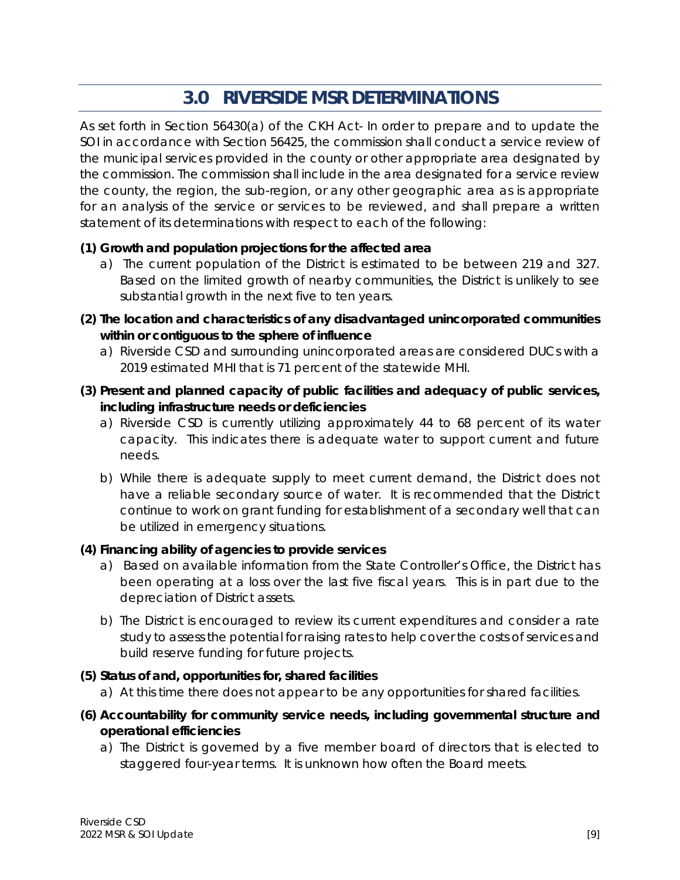# **3.0 RIVERSIDE MSR DETERMINATIONS**

<span id="page-16-0"></span>As set forth in Section 56430(a) of the CKH Act- In order to prepare and to update the SOI in accordance with Section 56425, the commission shall conduct a service review of the municipal services provided in the county or other appropriate area designated by the commission. The commission shall include in the area designated for a service review the county, the region, the sub-region, or any other geographic area as is appropriate for an analysis of the service or services to be reviewed, and shall prepare a written statement of its determinations with respect to each of the following:

### **(1) Growth and population projections for the affected area**

- a) The current population of the District is estimated to be between 219 and 327. Based on the limited growth of nearby communities, the District is unlikely to see substantial growth in the next five to ten years.
- **(2) The location and characteristics of any disadvantaged unincorporated communities within or contiguous to the sphere of influence**
	- a) Riverside CSD and surrounding unincorporated areas are considered DUCs with a 2019 estimated MHI that is 71 percent of the statewide MHI.
- **(3) Present and planned capacity of public facilities and adequacy of public services, including infrastructure needs or deficiencies**
	- a) Riverside CSD is currently utilizing approximately 44 to 68 percent of its water capacity. This indicates there is adequate water to support current and future needs.
	- b) While there is adequate supply to meet current demand, the District does not have a reliable secondary source of water. It is recommended that the District continue to work on grant funding for establishment of a secondary well that can be utilized in emergency situations.

### **(4) Financing ability of agencies to provide services**

- a) Based on available information from the State Controller's Office, the District has been operating at a loss over the last five fiscal years. This is in part due to the depreciation of District assets.
- b) The District is encouraged to review its current expenditures and consider a rate study to assess the potential for raising rates to help cover the costs of services and build reserve funding for future projects.

### **(5) Status of and, opportunities for, shared facilities**

- a) At this time there does not appear to be any opportunities for shared facilities.
- **(6) Accountability for community service needs, including governmental structure and operational efficiencies**
	- a) The District is governed by a five member board of directors that is elected to staggered four-year terms. It is unknown how often the Board meets.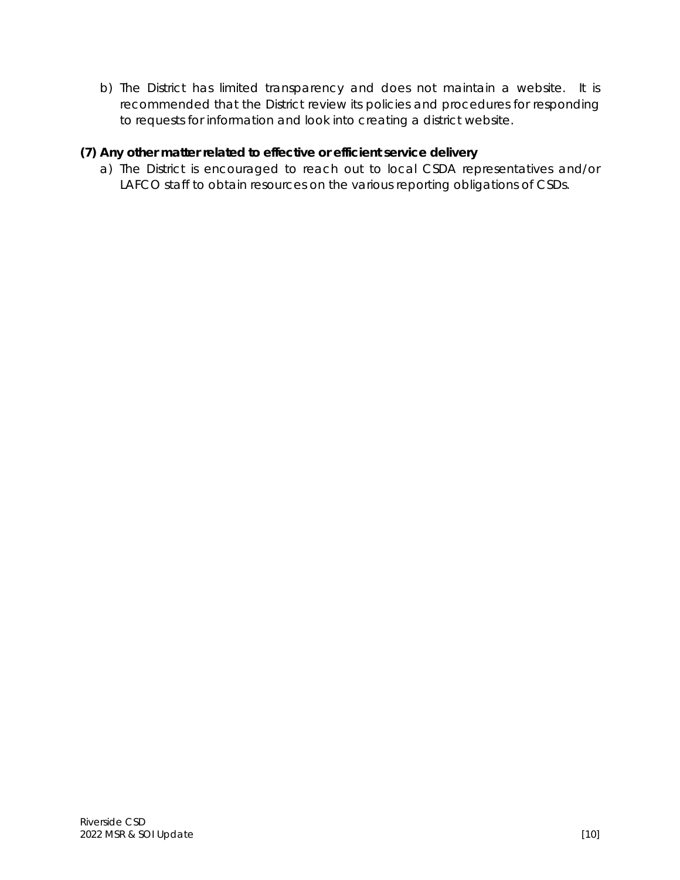b) The District has limited transparency and does not maintain a website. It is recommended that the District review its policies and procedures for responding to requests for information and look into creating a district website.

### **(7) Any other matter related to effective or efficient service delivery**

a) The District is encouraged to reach out to local CSDA representatives and/or LAFCO staff to obtain resources on the various reporting obligations of CSDs.